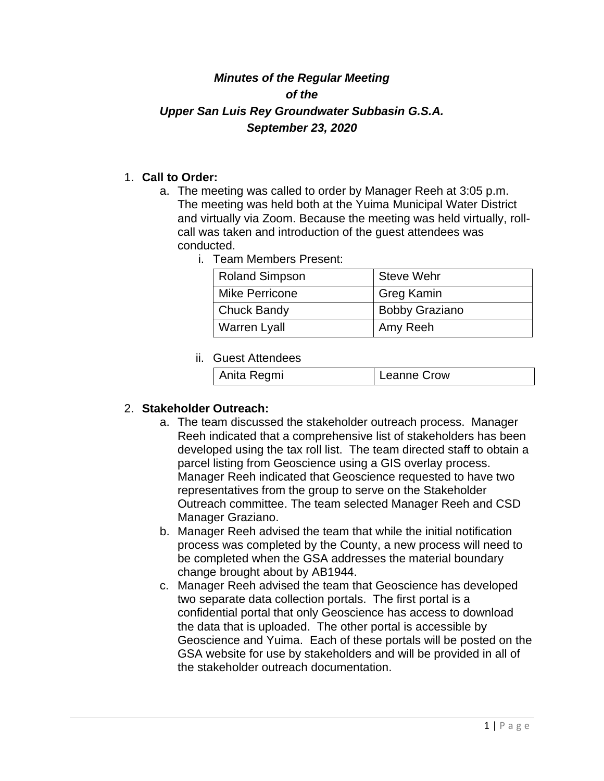# *Minutes of the Regular Meeting of the Upper San Luis Rey Groundwater Subbasin G.S.A. September 23, 2020*

### 1. **Call to Order:**

- a. The meeting was called to order by Manager Reeh at 3:05 p.m. The meeting was held both at the Yuima Municipal Water District and virtually via Zoom. Because the meeting was held virtually, rollcall was taken and introduction of the guest attendees was conducted.
	- i. Team Members Present:

| <b>Roland Simpson</b> | Steve Wehr            |
|-----------------------|-----------------------|
| Mike Perricone        | <b>Greg Kamin</b>     |
| <b>Chuck Bandy</b>    | <b>Bobby Graziano</b> |
| <b>Warren Lyall</b>   | Amy Reeh              |

#### ii. Guest Attendees

| Anita Regmi | Leanne Crow |
|-------------|-------------|
|-------------|-------------|

#### 2. **Stakeholder Outreach:**

- a. The team discussed the stakeholder outreach process. Manager Reeh indicated that a comprehensive list of stakeholders has been developed using the tax roll list. The team directed staff to obtain a parcel listing from Geoscience using a GIS overlay process. Manager Reeh indicated that Geoscience requested to have two representatives from the group to serve on the Stakeholder Outreach committee. The team selected Manager Reeh and CSD Manager Graziano.
- b. Manager Reeh advised the team that while the initial notification process was completed by the County, a new process will need to be completed when the GSA addresses the material boundary change brought about by AB1944.
- c. Manager Reeh advised the team that Geoscience has developed two separate data collection portals. The first portal is a confidential portal that only Geoscience has access to download the data that is uploaded. The other portal is accessible by Geoscience and Yuima. Each of these portals will be posted on the GSA website for use by stakeholders and will be provided in all of the stakeholder outreach documentation.